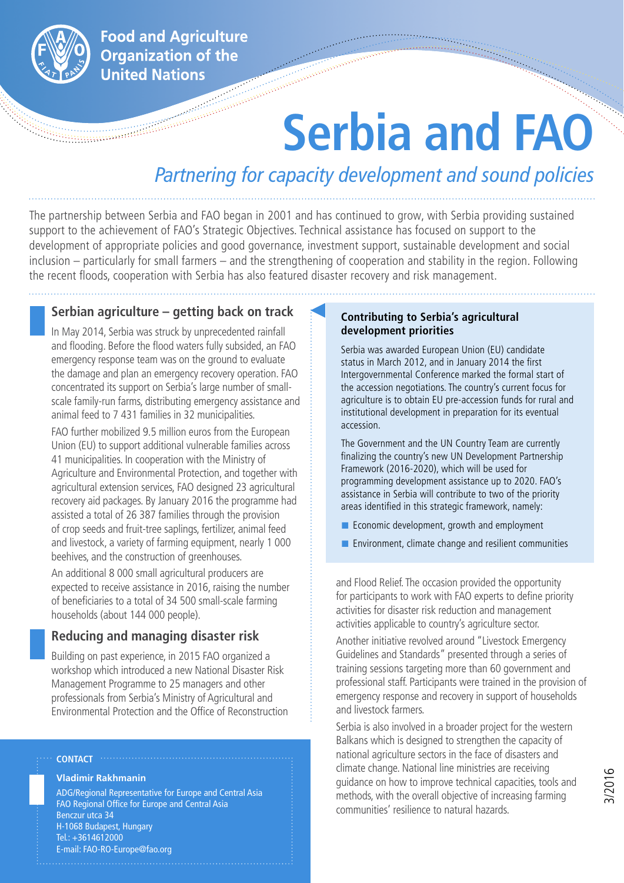

**Food and Agriculture Organization of the United Nations** 

# **Serbia and FAO**

# *Partnering for capacity development and sound policies*

The partnership between Serbia and FAO began in 2001 and has continued to grow, with Serbia providing sustained support to the achievement of FAO's Strategic Objectives. Technical assistance has focused on support to the development of appropriate policies and good governance, investment support, sustainable development and social inclusion – particularly for small farmers – and the strengthening of cooperation and stability in the region. Following the recent floods, cooperation with Serbia has also featured disaster recovery and risk management.

#### **Serbian agriculture – getting back on track**

In May 2014, Serbia was struck by unprecedented rainfall and flooding. Before the flood waters fully subsided, an FAO emergency response team was on the ground to evaluate the damage and plan an emergency recovery operation. FAO concentrated its support on Serbia's large number of smallscale family-run farms, distributing emergency assistance and animal feed to 7 431 families in 32 municipalities.

FAO further mobilized 9.5 million euros from the European Union (EU) to support additional vulnerable families across 41 municipalities. In cooperation with the Ministry of Agriculture and Environmental Protection, and together with agricultural extension services, FAO designed 23 agricultural recovery aid packages. By January 2016 the programme had assisted a total of 26 387 families through the provision of crop seeds and fruit-tree saplings, fertilizer, animal feed and livestock, a variety of farming equipment, nearly 1 000 beehives, and the construction of greenhouses.

An additional 8 000 small agricultural producers are expected to receive assistance in 2016, raising the number of beneficiaries to a total of 34 500 small-scale farming households (about 144 000 people).

#### **Reducing and managing disaster risk**

Building on past experience, in 2015 FAO organized a workshop which introduced a new National Disaster Risk Management Programme to 25 managers and other professionals from Serbia's Ministry of Agricultural and Environmental Protection and the Office of Reconstruction

# **Vladimir Rakhmanin**

**Contact**

ADG/Regional Representative for Europe and Central Asia FAO Regional Office for Europe and Central Asia Benczur utca 34 H-1068 Budapest, Hungary Tel.: +3614612000 E-mail: FAO-RO-Europe@fao.org

#### **Contributing to Serbia's agricultural development priorities**

Serbia was awarded European Union (EU) candidate status in March 2012, and in January 2014 the first Intergovernmental Conference marked the formal start of the accession negotiations. The country's current focus for agriculture is to obtain EU pre-accession funds for rural and institutional development in preparation for its eventual accession.

The Government and the UN Country Team are currently finalizing the country's new UN Development Partnership Framework (2016-2020), which will be used for programming development assistance up to 2020. FAO's assistance in Serbia will contribute to two of the priority areas identified in this strategic framework, namely:

- Economic development, growth and employment
- Environment, climate change and resilient communities

and Flood Relief. The occasion provided the opportunity for participants to work with FAO experts to define priority activities for disaster risk reduction and management activities applicable to country's agriculture sector.

Another initiative revolved around "Livestock Emergency Guidelines and Standards" presented through a series of training sessions targeting more than 60 government and professional staff. Participants were trained in the provision of emergency response and recovery in support of households and livestock farmers.

Serbia is also involved in a broader project for the western Balkans which is designed to strengthen the capacity of national agriculture sectors in the face of disasters and climate change. National line ministries are receiving guidance on how to improve technical capacities, tools and methods, with the overall objective of increasing farming communities' resilience to natural hazards.